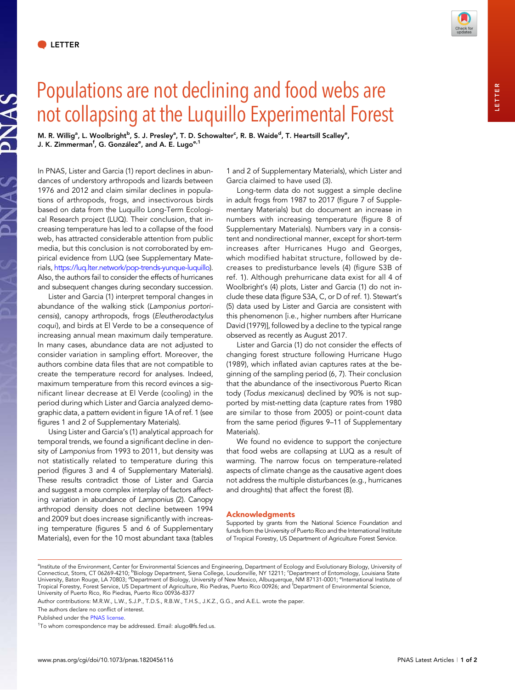NAS.



## Populations are not declining and food webs are not collapsing at the Luquillo Experimental Forest

M. R. Willig<sup>a</sup>, L. Woolbright<sup>b</sup>, S. J. Presley<sup>a</sup>, T. D. Schowalter<sup>c</sup>, R. B. Waide<sup>d</sup>, T. Heartsill Scalley<sup>e</sup>, J. K. Zimmerman<sup>f</sup>, G. González<sup>e</sup>, and A. E. Lugo<sup>e,1</sup>

In PNAS, Lister and Garcia (1) report declines in abundances of understory arthropods and lizards between 1976 and 2012 and claim similar declines in populations of arthropods, frogs, and insectivorous birds based on data from the Luquillo Long-Term Ecological Research project (LUQ). Their conclusion, that increasing temperature has led to a collapse of the food web, has attracted considerable attention from public media, but this conclusion is not corroborated by empirical evidence from LUQ (see Supplementary Materials, <https://luq.lter.network/pop-trends-yunque-luquillo>). Also, the authors fail to consider the effects of hurricanes and subsequent changes during secondary succession.

Lister and Garcia (1) interpret temporal changes in abundance of the walking stick (Lamponius portoricensis), canopy arthropods, frogs (Eleutherodactylus coqui), and birds at El Verde to be a consequence of increasing annual mean maximum daily temperature. In many cases, abundance data are not adjusted to consider variation in sampling effort. Moreover, the authors combine data files that are not compatible to create the temperature record for analyses. Indeed, maximum temperature from this record evinces a significant linear decrease at El Verde (cooling) in the period during which Lister and Garcia analyzed demographic data, a pattern evident in figure 1A of ref. 1 (see figures 1 and 2 of Supplementary Materials).

Using Lister and Garcia's (1) analytical approach for temporal trends, we found a significant decline in density of Lamponius from 1993 to 2011, but density was not statistically related to temperature during this period (figures 3 and 4 of Supplementary Materials). These results contradict those of Lister and Garcia and suggest a more complex interplay of factors affecting variation in abundance of Lamponius (2). Canopy arthropod density does not decline between 1994 and 2009 but does increase significantly with increasing temperature (figures 5 and 6 of Supplementary Materials), even for the 10 most abundant taxa (tables

1 and 2 of Supplementary Materials), which Lister and Garcia claimed to have used (3).

Long-term data do not suggest a simple decline in adult frogs from 1987 to 2017 (figure 7 of Supplementary Materials) but do document an increase in numbers with increasing temperature (figure 8 of Supplementary Materials). Numbers vary in a consistent and nondirectional manner, except for short-term increases after Hurricanes Hugo and Georges, which modified habitat structure, followed by decreases to predisturbance levels (4) (figure S3B of ref. 1). Although prehurricane data exist for all 4 of Woolbright's (4) plots, Lister and Garcia (1) do not include these data (figure S3A, C, or D of ref. 1). Stewart's (5) data used by Lister and Garcia are consistent with this phenomenon [i.e., higher numbers after Hurricane David (1979)], followed by a decline to the typical range observed as recently as August 2017.

Lister and Garcia (1) do not consider the effects of changing forest structure following Hurricane Hugo (1989), which inflated avian captures rates at the beginning of the sampling period (6, 7). Their conclusion that the abundance of the insectivorous Puerto Rican tody (Todus mexicanus) declined by 90% is not supported by mist-netting data (capture rates from 1980 are similar to those from 2005) or point-count data from the same period (figures 9–11 of Supplementary Materials).

We found no evidence to support the conjecture that food webs are collapsing at LUQ as a result of warming. The narrow focus on temperature-related aspects of climate change as the causative agent does not address the multiple disturbances (e.g., hurricanes and droughts) that affect the forest (8).

## Acknowledgments

Supported by grants from the National Science Foundation and funds from the University of Puerto Rico and the International Institute of Tropical Forestry, US Department of Agriculture Forest Service.

Author contributions: M.R.W., L.W., S.J.P., T.D.S., R.B.W., T.H.S., J.K.Z., G.G., and A.E.L. wrote the paper.

The authors declare no conflict of interest.

<sup>&</sup>lt;sup>a</sup>lnstitute of the Environment, Center for Environmental Sciences and Engineering, Department of Ecology and Evolutionary Biology, University of<br>Connecticut, Storrs, CT 06269-4210; <sup>b</sup>Biology Department, Siena College, Lo Tropical Forestry, Forest Service, US Department of Agriculture, Rio Piedras, Puerto Rico 00926; and <sup>f</sup> Department of Environmental Science, University of Puerto Rico, Rio Piedras, Puerto Rico 00936-8377

Published under the [PNAS license.](https://www.pnas.org/site/aboutpnas/licenses.xhtml)

<sup>&</sup>lt;sup>1</sup>To whom correspondence may be addressed. Email: [alugo@fs.fed.us](mailto:alugo@fs.fed.us).